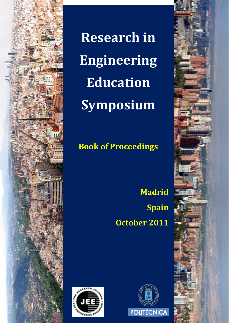

**Research in Engineering Education Symposium**

# **Book of Proceedings**

**Madrid Spain October 2011**





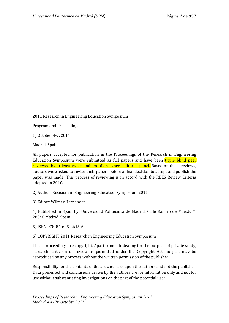2011 Research in Engineering Education Symposium

Program and Proceedings

1) October 4-7, 2011

Madrid, Spain

All papers accepted for publication in the Proceedings of the Research in Engineering Education Symposium were submitted as full papers and have been triple blind peer reviewed by at least two members of an expert editorial panel. Based on these reviews, authors were asked to revise their papers before a final decision to accept and publish the paper was made. This process of reviewing is in accord with the REES Review Criteria adopted in 2010.

2) Author: Reseacrh in Engineering Education Symposium 2011

3) Editor: Wilmar Hernandez

4) Published in Spain by: Universidad Politécnica de Madrid, Calle Ramiro de Maeztu 7, 28040 Madrid, Spain.

5) ISBN 978-84-695-2615-6

6) COPYRIGHT 2011 Research in Engineering Education Symposium

These proceedings are copyright. Apart from fair dealing for the purpose of private study, research, criticism or review as permitted under the Copyright Act, no part may be reproduced by any process without the written permission of the publisher.

Responsibility for the contents of the articles rests upon the authors and not the publisher. Data presented and conclusions drawn by the authors are for information only and not for use without substantiating investigations on the part of the potential user.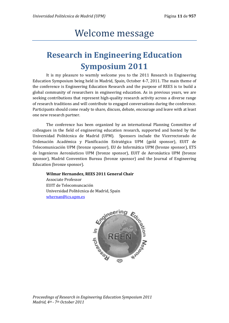# Welcome message

# **Research in Engineering Education Symposium 2011**

It is my pleasure to warmly welcome you to the 2011 Research in Engineering Education Symposium being held in Madrid, Spain, October 4-7, 2011. The main theme of the conference is Engineering Education Research and the purpose of REES is to build a global community of researchers in engineering education. As in previous years, we are seeking contributions that represent high-quality research activity across a diverse range of research traditions and will contribute to engaged conversations during the conference. Participants should come ready to share, discuss, debate, encourage and leave with at least one new research partner.

The conference has been organized by an international Planning Committee of colleagues in the field of engineering education research, supported and hosted by the Universidad Politécnica de Madrid (UPM). Sponsors include the Vicerrectorado de Ordenación Académica y Planificación Estratégica UPM (gold sponsor), EUIT de Telecomunicación UPM (bronze sponsor), EU de Informática UPM (bronze sponsor), ETS de Ingenieros Aeronáuticos UPM (bronze sponsor), EUIT de Aeronáutica UPM (bronze sponsor), Madrid Convention Bureau (bronze sponsor) and the Journal of Engineering Education (bronze sponsor).

#### **Wilmar Hernandez, REES 2011 General Chair**

Associate Professor EUIT de Telecomuncación Universidad Politécnica de Madrid, Spain [whernan@ics.upm.es](mailto:whernan@ics.upm.es)

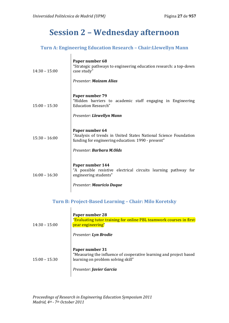$\overline{1}$ 

## **Session 2 – Wednesday afternoon**

### **Turn A: Engineering Education Research – Chair:Llewellyn Mann**

| $14:30 - 15:00$ | Paper number 68<br>"Strategic pathways to engineering education research: a top-down<br>case study"<br>Presenter: Maizam Alias                                                |
|-----------------|-------------------------------------------------------------------------------------------------------------------------------------------------------------------------------|
| $15:00 - 15:30$ | Paper number 79<br>"Hidden barriers to academic staff engaging in Engineering<br><b>Education Research"</b><br>Presenter: Llewellyn Mann                                      |
| $15:30 - 16:00$ | Paper number 64<br>"Analysis of trends in United States National Science Foundation<br>funding for engineering education: 1990 - present"<br>Presenter: <b>Barbara M.Olds</b> |
| $16:00 - 16:30$ | Paper number 144<br>"A possible resistive electrical circuits learning pathway for<br>engineering students"<br><b>Presenter: Mauricio Duque</b>                               |

## **Turn B: Project-Based Learning – Chair: Milo Koretsky**

| $14:30 - 15:00$ | Paper number 28<br>"Evaluating tutor training for online PBL teamwork courses in first<br>year engineering"<br>Presenter: Lyn Brodie                    |
|-----------------|---------------------------------------------------------------------------------------------------------------------------------------------------------|
| $15:00 - 15:30$ | Paper number 31<br>"Measuring the influence of cooperative learning and project based<br>learning on problem solving skill"<br>Presenter: Javier Garcia |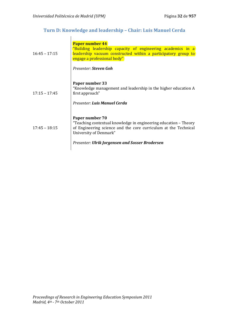## **Turn D: Knowledge and leadership – Chair: Luis Manuel Cerda**

| $16:45 - 17:15$ | Paper number 44<br>"Building leadership capacity of engineering academics in a<br>leadership vacuum constructed within a participatory group to<br>engage a professional body"<br>Presenter: Steven Goh                             |
|-----------------|-------------------------------------------------------------------------------------------------------------------------------------------------------------------------------------------------------------------------------------|
| $17:15 - 17:45$ | Paper number 33<br>"Knowledge management and leadership in the higher education A<br>first approach"<br>Presenter: Luis Manuel Cerda                                                                                                |
| $17:45 - 18:15$ | Paper number 70<br>"Teaching contextual knowledge in engineering education – Theory<br>of Engineering science and the core curriculum at the Technical<br>University of Denmark"<br>Presenter: Ulrik Jorgensen and Sosser Brodersen |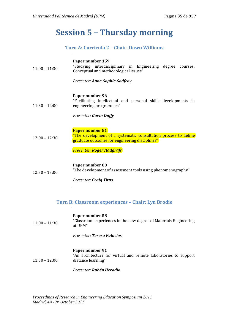$\overline{\phantom{a}}$ 

## **Session 5 – Thursday morning**

## **Turn A: Curricula 2 – Chair: Dawn Williams**

| $11:00 - 11:30$ | Paper number 159<br>"Studying interdisciplinary in Engineering degree<br>courses:<br>Conceptual and methodological issues"                  |
|-----------------|---------------------------------------------------------------------------------------------------------------------------------------------|
|                 | <b>Presenter: Anne-Sophie Godfroy</b>                                                                                                       |
| $11:30 - 12:00$ | Paper number 96<br>"Facilitating intellectual and personal skills developments in<br>engineering programmes"                                |
|                 | <b>Presenter: Gavin Duffy</b>                                                                                                               |
| $12:00 - 12:30$ | <b>Paper number 81</b><br>"The development of a systematic consultation process to define<br>graduate outcomes for engineering disciplines" |
|                 | <b>Presenter: Roger Hadgraft</b>                                                                                                            |
| $12:30 - 13:00$ | Paper number 88<br>"The development of assessment tools using phenomenography"                                                              |
|                 | <b>Presenter: Craig Titus</b>                                                                                                               |

## **Turn B: Classroom experiences – Chair: Lyn Brodie**

| $11:00 - 11:30$ | Paper number 58<br>"Classroom experiences in the new degree of Materials Engineering<br>at UPM"<br>Presenter: Teresa Palacios        |
|-----------------|--------------------------------------------------------------------------------------------------------------------------------------|
| $11:30 - 12:00$ | Paper number 91<br>"An architecture for virtual and remote laboratories to support<br>distance learning"<br>Presenter: Rubén Heradio |